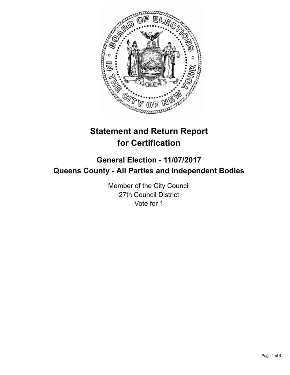

# **Statement and Return Report for Certification**

## **General Election - 11/07/2017 Queens County - All Parties and Independent Bodies**

Member of the City Council 27th Council District Vote for 1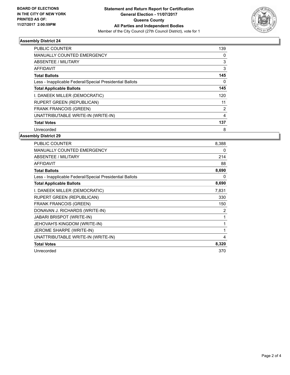

## **Assembly District 24**

| <b>PUBLIC COUNTER</b>                                    | 139 |
|----------------------------------------------------------|-----|
| <b>MANUALLY COUNTED EMERGENCY</b>                        | 0   |
| ABSENTEE / MILITARY                                      | 3   |
| AFFIDAVIT                                                | 3   |
| <b>Total Ballots</b>                                     | 145 |
| Less - Inapplicable Federal/Special Presidential Ballots | 0   |
| <b>Total Applicable Ballots</b>                          | 145 |
| I. DANEEK MILLER (DEMOCRATIC)                            | 120 |
| RUPERT GREEN (REPUBLICAN)                                | 11  |
| <b>FRANK FRANCOIS (GREEN)</b>                            | 2   |
| UNATTRIBUTABLE WRITE-IN (WRITE-IN)                       | 4   |
| <b>Total Votes</b>                                       | 137 |
| Unrecorded                                               | 8   |

#### **Assembly District 29**

| <b>PUBLIC COUNTER</b>                                    | 8,388 |
|----------------------------------------------------------|-------|
| <b>MANUALLY COUNTED EMERGENCY</b>                        | 0     |
| ABSENTEE / MILITARY                                      | 214   |
| <b>AFFIDAVIT</b>                                         | 88    |
| <b>Total Ballots</b>                                     | 8,690 |
| Less - Inapplicable Federal/Special Presidential Ballots | 0     |
| <b>Total Applicable Ballots</b>                          | 8,690 |
| I. DANEEK MILLER (DEMOCRATIC)                            | 7,831 |
| <b>RUPERT GREEN (REPUBLICAN)</b>                         | 330   |
| <b>FRANK FRANCOIS (GREEN)</b>                            | 150   |
| DONAVAN J. RICHARDS (WRITE-IN)                           | 2     |
| JABARI BRISPOT (WRITE-IN)                                | 1     |
| JEHOVAH'S KINGDOM (WRITE-IN)                             | 1     |
| JEROME SHARPE (WRITE-IN)                                 | 1     |
| UNATTRIBUTABLE WRITE-IN (WRITE-IN)                       | 4     |
| <b>Total Votes</b>                                       | 8,320 |
| Unrecorded                                               | 370   |
|                                                          |       |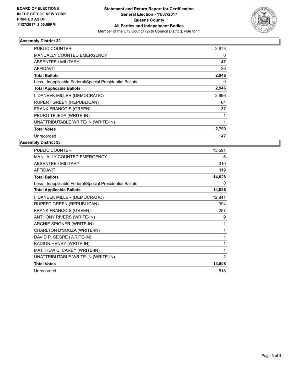

## **Assembly District 32**

| PUBLIC COUNTER                                           | 2,873 |
|----------------------------------------------------------|-------|
| <b>MANUALLY COUNTED EMERGENCY</b>                        | 0     |
| ABSENTEE / MILITARY                                      | 47    |
| <b>AFFIDAVIT</b>                                         | 26    |
| <b>Total Ballots</b>                                     | 2,946 |
| Less - Inapplicable Federal/Special Presidential Ballots | 0     |
| <b>Total Applicable Ballots</b>                          | 2,946 |
| I. DANEEK MILLER (DEMOCRATIC)                            | 2,696 |
| RUPERT GREEN (REPUBLICAN)                                | 64    |
| <b>FRANK FRANCOIS (GREEN)</b>                            | 37    |
| PEDRO TEJEDA (WRITE-IN)                                  |       |
| UNATTRIBUTABLE WRITE-IN (WRITE-IN)                       |       |
| <b>Total Votes</b>                                       | 2,799 |
| Unrecorded                                               | 147   |

## **Assembly District 33**

| <b>PUBLIC COUNTER</b>                                    | 13,591 |
|----------------------------------------------------------|--------|
| <b>MANUALLY COUNTED EMERGENCY</b>                        | 6      |
| <b>ABSENTEE / MILITARY</b>                               | 310    |
| <b>AFFIDAVIT</b>                                         | 119    |
| <b>Total Ballots</b>                                     | 14,026 |
| Less - Inapplicable Federal/Special Presidential Ballots | 0      |
| <b>Total Applicable Ballots</b>                          | 14,026 |
| I. DANEEK MILLER (DEMOCRATIC)                            | 12,841 |
| <b>RUPERT GREEN (REPUBLICAN)</b>                         | 394    |
| <b>FRANK FRANCOIS (GREEN)</b>                            | 257    |
| ANTHONY RIVERS (WRITE-IN)                                | 9      |
| ARCHIE SPIGNER (WRITE-IN)                                | 1      |
| CHARLTON D'SOUZA (WRITE-IN)                              | 1      |
| DAVID P. SEGRE (WRITE-IN)                                | 1      |
| KADION HENRY (WRITE-IN)                                  | 1      |
| MATTHEW C. CAREY (WRITE-IN)                              | 1      |
| UNATTRIBUTABLE WRITE-IN (WRITE-IN)                       | 2      |
| <b>Total Votes</b>                                       | 13,508 |
| Unrecorded                                               | 518    |
|                                                          |        |